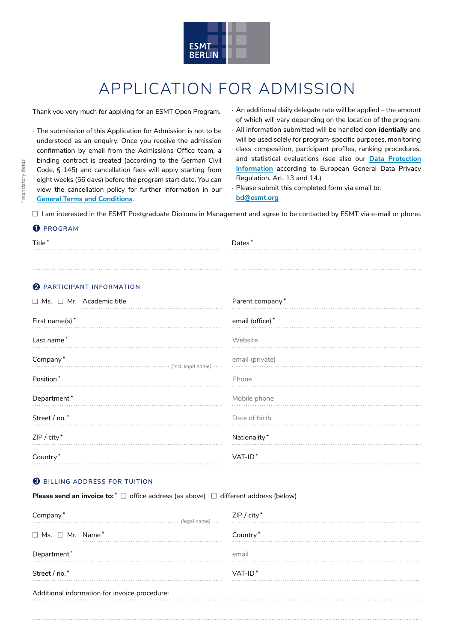

## APPLICATION FOR ADMISSION

Thank you very much for applying for an ESMT Open Program.

· The submission of this Application for Admission is not to be understood as an enquiry. Once you receive the admission confirmation by email from the Admissions Office team, a binding contract is created (according to the German Civil Code, § 145) and cancellation fees will apply starting from eight weeks (56 days) before the program start date. You can view the cancellation policy for further information in our **[General Terms and Conditions](https://www.esmt.org/executive-education/general-terms-and-conditions)**.

· An additional daily delegate rate will be applied – the amount of which will vary depending on the location of the program.

- · All information submitted will be handled *con identially* and will be used solely for program-specific purposes, monitoring class composition, participant profiles, ranking procedures, and statistical evaluations (see also our **[Data Protection](https://esmt.berlin/data-privacy) [Information](https://esmt.berlin/data-privacy)** according to European General Data Privacy Regulation, Art. 13 and 14.)
- · Please submit this completed form via email to: **bd@esmt.org**

 $\Box$  I am interested in the ESMT Postgraduate Diploma in Management and agree to be contacted by ESMT via e-mail or phone.

#### ➊ **PROGRAM**

| Title <sup>*</sup> | Dates* |
|--------------------|--------|
| .                  |        |
|                    |        |
|                    |        |
|                    | .      |

## ➋ **PARTICIPANT INFORMATION**

| $\Box$ Ms. $\Box$ Mr. Academic title | Parent company* |
|--------------------------------------|-----------------|
| First name(s)*                       | email (office)* |
| Last name*                           | Website         |
| Company*                             | email (private) |
| Position*                            | Phone           |
| Department*                          | Mobile phone    |
| Street / no.*                        | Date of birth   |
| ZIP / city*                          | Nationality*    |
| Country*                             | $VAT-ID*$       |

## ➌ **BILLING ADDRESS FOR TUITION**

**Please send an invoice to:**<sup>\*</sup> □ office address (as above) □ different address (below)

| Company*<br>(legal name)                      | ZIP / city*          |
|-----------------------------------------------|----------------------|
| $\Box$ Ms. $\Box$ Mr. Name*                   | Country <sup>*</sup> |
| Department*                                   | email                |
| Street / no.*                                 | $VAT-ID*$            |
| Additional information for invoice procedure: |                      |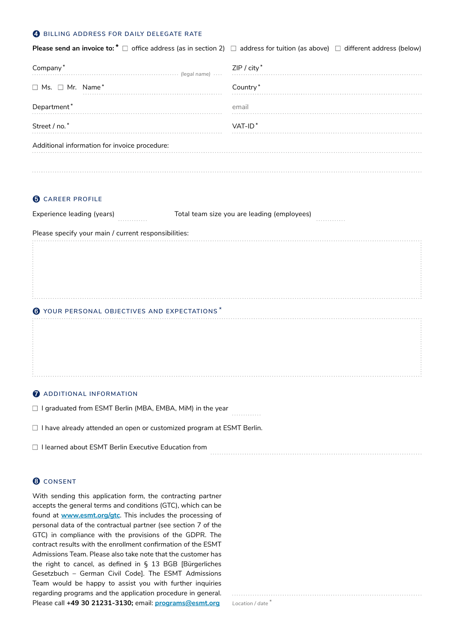#### ➍ **BILLING ADDRESS FOR DAILY DELEGATE RATE**

| <b>Please send an invoice to:</b> $*$ $\square$ office address (as in section 2) $\square$ address for tuition (as above) $\square$ different address (below) |             |
|---------------------------------------------------------------------------------------------------------------------------------------------------------------|-------------|
| Company*                                                                                                                                                      | ZIP / city* |
| $\Box$ Ms. $\Box$ Mr. Name*                                                                                                                                   | Country*    |
| Department*                                                                                                                                                   | email       |
| Street / no.*                                                                                                                                                 | $VAT-ID*$   |
| Additional information for invoice procedure:                                                                                                                 |             |
|                                                                                                                                                               |             |

#### **O** CAREER PROFILE

| Experience leading (years) |  |  |
|----------------------------|--|--|
|                            |  |  |
|                            |  |  |

Total team size you are leading (employees)

Please specify your main / current responsibilities:

#### ➏ **YOUR PERSONAL OBJECTIVES AND EXPECTATIONS** \*

#### *ADDITIONAL INFORMATION*

 $\Box$  I graduated from ESMT Berlin (MBA, EMBA, MiM) in the year

 $\Box$  I have already attended an open or customized program at ESMT Berlin.

□ I learned about ESMT Berlin Executive Education from

## ➑ **CONSENT**

With sending this application form, the contracting partner accepts the general terms and conditions (GTC), which can be found at **[www.esmt.org/gtc](https://www.esmt.org/executive-education/general-terms-and-conditions)**. This includes the processing of personal data of the contractual partner (see section 7 of the GTC) in compliance with the provisions of the GDPR. The contract results with the enrollment confirmation of the ESMT Admissions Team. Please also take note that the customer has the right to cancel, as defined in § 13 BGB [Bürgerliches Gesetzbuch – German Civil Code]. The ESMT Admissions Team would be happy to assist you with further inquiries regarding programs and the application procedure in general. Please call **+49 30 21231-3130;** email: **[programs@esmt.org](mailto:programs@esmt.org)** *Location / date \**